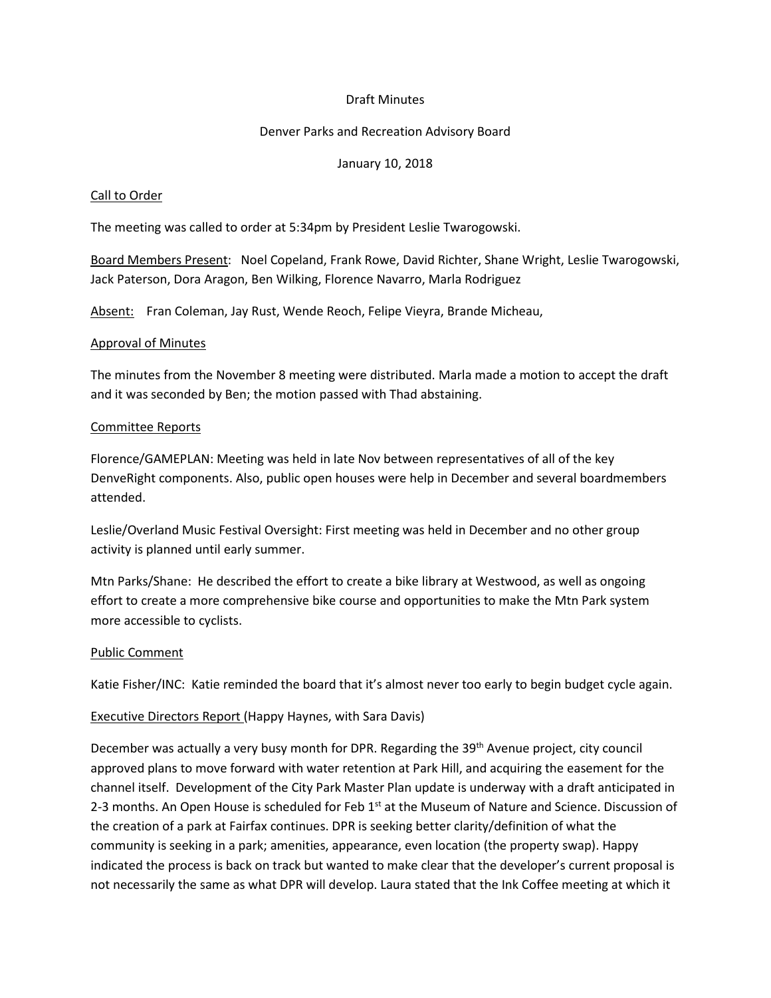## Draft Minutes

## Denver Parks and Recreation Advisory Board

## January 10, 2018

## Call to Order

The meeting was called to order at 5:34pm by President Leslie Twarogowski.

Board Members Present: Noel Copeland, Frank Rowe, David Richter, Shane Wright, Leslie Twarogowski, Jack Paterson, Dora Aragon, Ben Wilking, Florence Navarro, Marla Rodriguez

Absent: Fran Coleman, Jay Rust, Wende Reoch, Felipe Vieyra, Brande Micheau,

## Approval of Minutes

The minutes from the November 8 meeting were distributed. Marla made a motion to accept the draft and it was seconded by Ben; the motion passed with Thad abstaining.

## Committee Reports

Florence/GAMEPLAN: Meeting was held in late Nov between representatives of all of the key DenveRight components. Also, public open houses were help in December and several boardmembers attended.

Leslie/Overland Music Festival Oversight: First meeting was held in December and no other group activity is planned until early summer.

Mtn Parks/Shane: He described the effort to create a bike library at Westwood, as well as ongoing effort to create a more comprehensive bike course and opportunities to make the Mtn Park system more accessible to cyclists.

#### Public Comment

Katie Fisher/INC: Katie reminded the board that it's almost never too early to begin budget cycle again.

## Executive Directors Report (Happy Haynes, with Sara Davis)

December was actually a very busy month for DPR. Regarding the 39<sup>th</sup> Avenue project, city council approved plans to move forward with water retention at Park Hill, and acquiring the easement for the channel itself. Development of the City Park Master Plan update is underway with a draft anticipated in 2-3 months. An Open House is scheduled for Feb  $1<sup>st</sup>$  at the Museum of Nature and Science. Discussion of the creation of a park at Fairfax continues. DPR is seeking better clarity/definition of what the community is seeking in a park; amenities, appearance, even location (the property swap). Happy indicated the process is back on track but wanted to make clear that the developer's current proposal is not necessarily the same as what DPR will develop. Laura stated that the Ink Coffee meeting at which it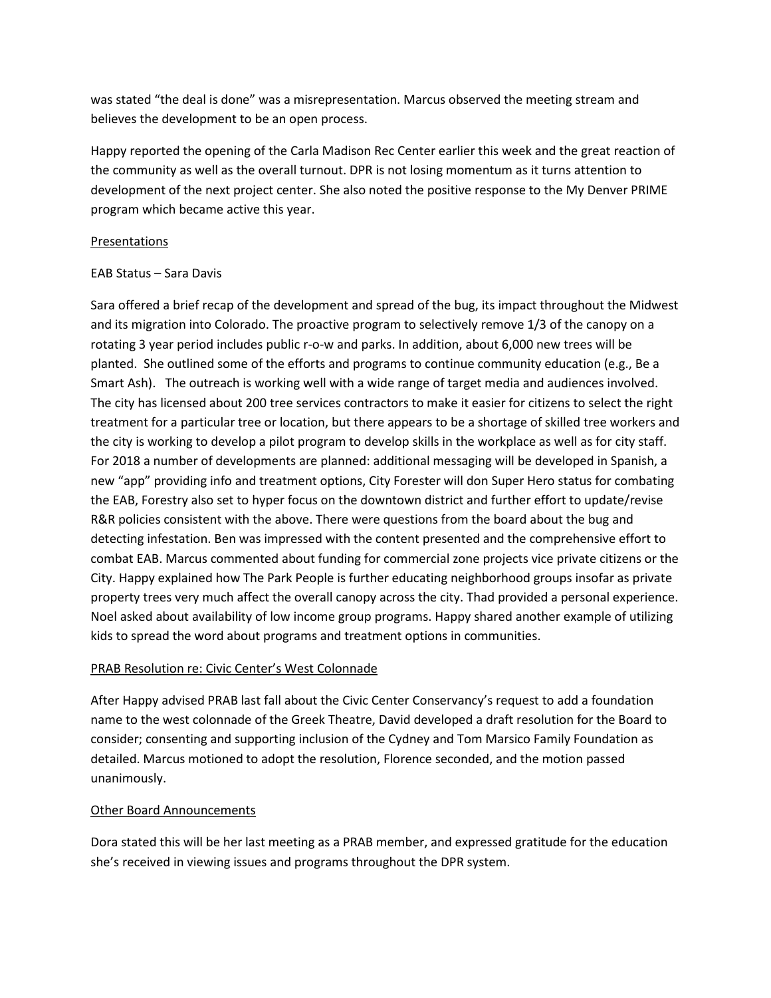was stated "the deal is done" was a misrepresentation. Marcus observed the meeting stream and believes the development to be an open process.

Happy reported the opening of the Carla Madison Rec Center earlier this week and the great reaction of the community as well as the overall turnout. DPR is not losing momentum as it turns attention to development of the next project center. She also noted the positive response to the My Denver PRIME program which became active this year.

## **Presentations**

## EAB Status – Sara Davis

Sara offered a brief recap of the development and spread of the bug, its impact throughout the Midwest and its migration into Colorado. The proactive program to selectively remove 1/3 of the canopy on a rotating 3 year period includes public r-o-w and parks. In addition, about 6,000 new trees will be planted. She outlined some of the efforts and programs to continue community education (e.g., Be a Smart Ash). The outreach is working well with a wide range of target media and audiences involved. The city has licensed about 200 tree services contractors to make it easier for citizens to select the right treatment for a particular tree or location, but there appears to be a shortage of skilled tree workers and the city is working to develop a pilot program to develop skills in the workplace as well as for city staff. For 2018 a number of developments are planned: additional messaging will be developed in Spanish, a new "app" providing info and treatment options, City Forester will don Super Hero status for combating the EAB, Forestry also set to hyper focus on the downtown district and further effort to update/revise R&R policies consistent with the above. There were questions from the board about the bug and detecting infestation. Ben was impressed with the content presented and the comprehensive effort to combat EAB. Marcus commented about funding for commercial zone projects vice private citizens or the City. Happy explained how The Park People is further educating neighborhood groups insofar as private property trees very much affect the overall canopy across the city. Thad provided a personal experience. Noel asked about availability of low income group programs. Happy shared another example of utilizing kids to spread the word about programs and treatment options in communities.

# PRAB Resolution re: Civic Center's West Colonnade

After Happy advised PRAB last fall about the Civic Center Conservancy's request to add a foundation name to the west colonnade of the Greek Theatre, David developed a draft resolution for the Board to consider; consenting and supporting inclusion of the Cydney and Tom Marsico Family Foundation as detailed. Marcus motioned to adopt the resolution, Florence seconded, and the motion passed unanimously.

## Other Board Announcements

Dora stated this will be her last meeting as a PRAB member, and expressed gratitude for the education she's received in viewing issues and programs throughout the DPR system.